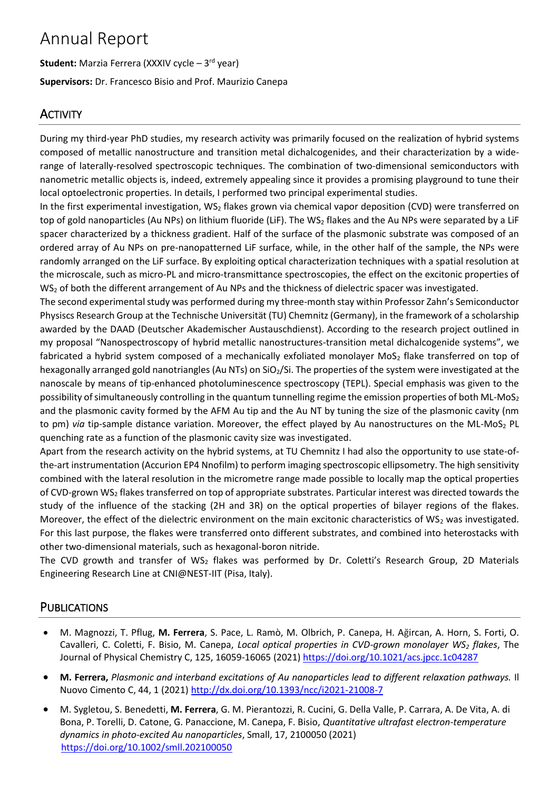# Annual Report

**Student:** Marzia Ferrera (XXXIV cycle – 3<sup>rd</sup> year) **Supervisors:** Dr. Francesco Bisio and Prof. Maurizio Canepa

# **ACTIVITY**

During my third-year PhD studies, my research activity was primarily focused on the realization of hybrid systems composed of metallic nanostructure and transition metal dichalcogenides, and their characterization by a widerange of laterally-resolved spectroscopic techniques. The combination of two-dimensional semiconductors with nanometric metallic objects is, indeed, extremely appealing since it provides a promising playground to tune their local optoelectronic properties. In details, I performed two principal experimental studies.

In the first experimental investigation,  $WS_2$  flakes grown via chemical vapor deposition (CVD) were transferred on top of gold nanoparticles (Au NPs) on lithium fluoride (LiF). The WS<sub>2</sub> flakes and the Au NPs were separated by a LiF spacer characterized by a thickness gradient. Half of the surface of the plasmonic substrate was composed of an ordered array of Au NPs on pre-nanopatterned LiF surface, while, in the other half of the sample, the NPs were randomly arranged on the LiF surface. By exploiting optical characterization techniques with a spatial resolution at the microscale, such as micro-PL and micro-transmittance spectroscopies, the effect on the excitonic properties of WS<sub>2</sub> of both the different arrangement of Au NPs and the thickness of dielectric spacer was investigated.

The second experimental study was performed during my three-month stay within Professor Zahn's Semiconductor Physiscs Research Group at the Technische Universität (TU) Chemnitz(Germany), in the framework of a scholarship awarded by the DAAD (Deutscher Akademischer Austauschdienst). According to the research project outlined in my proposal "Nanospectroscopy of hybrid metallic nanostructures-transition metal dichalcogenide systems", we fabricated a hybrid system composed of a mechanically exfoliated monolayer MoS<sub>2</sub> flake transferred on top of hexagonally arranged gold nanotriangles (Au NTs) on  $SiO<sub>2</sub>/Si$ . The properties of the system were investigated at the nanoscale by means of tip-enhanced photoluminescence spectroscopy (TEPL). Special emphasis was given to the possibility of simultaneously controlling in the quantum tunnelling regime the emission properties of both ML-MoS<sub>2</sub> and the plasmonic cavity formed by the AFM Au tip and the Au NT by tuning the size of the plasmonic cavity (nm to pm) *via* tip-sample distance variation. Moreover, the effect played by Au nanostructures on the ML-MoS<sub>2</sub> PL quenching rate as a function of the plasmonic cavity size was investigated.

Apart from the research activity on the hybrid systems, at TU Chemnitz I had also the opportunity to use state-ofthe-art instrumentation (Accurion EP4 Nnofilm) to perform imaging spectroscopic ellipsometry. The high sensitivity combined with the lateral resolution in the micrometre range made possible to locally map the optical properties of CVD-grown WS<sub>2</sub> flakes transferred on top of appropriate substrates. Particular interest was directed towards the study of the influence of the stacking (2H and 3R) on the optical properties of bilayer regions of the flakes. Moreover, the effect of the dielectric environment on the main excitonic characteristics of  $WS<sub>2</sub>$  was investigated. For this last purpose, the flakes were transferred onto different substrates, and combined into heterostacks with other two-dimensional materials, such as hexagonal-boron nitride.

The CVD growth and transfer of WS<sub>2</sub> flakes was performed by Dr. Coletti's Research Group, 2D Materials Engineering Research Line at CNI@NEST-IIT (Pisa, Italy).

# **PUBLICATIONS**

- M. Magnozzi, T. Pflug, **M. Ferrera**, S. Pace, L. Ramò, M. Olbrich, P. Canepa, H. Ağircan, A. Horn, S. Forti, O. Cavalleri, C. Coletti, F. Bisio, M. Canepa, *Local optical properties in CVD-grown monolayer WS<sup>2</sup> flakes*, The Journal of Physical Chemistry C, 125, 16059-16065 (2021) <https://doi.org/10.1021/acs.jpcc.1c04287>
- **M. Ferrera,** *Plasmonic and interband excitations of Au nanoparticles lead to different relaxation pathways.* Il Nuovo Cimento C, 44, 1 (2021) <http://dx.doi.org/10.1393/ncc/i2021-21008-7>
- M. Sygletou, S. Benedetti, **M. Ferrera**, G. M. Pierantozzi, R. Cucini, G. Della Valle, P. Carrara, A. De Vita, A. di Bona, P. Torelli, D. Catone, G. Panaccione, M. Canepa, F. Bisio, *Quantitative ultrafast electron-temperature dynamics in photo-excited Au nanoparticles*, Small, 17, 2100050 (2021) <https://doi.org/10.1002/smll.202100050>